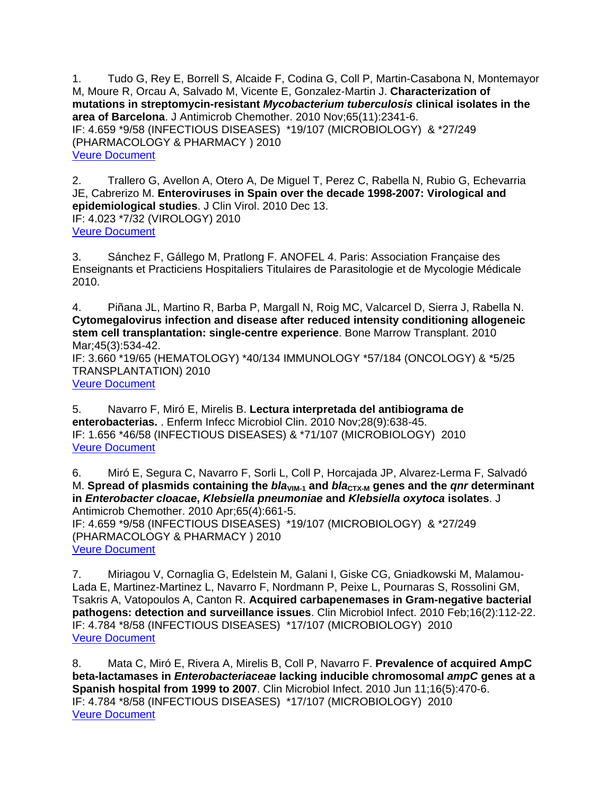1. Tudo G, Rey E, Borrell S, Alcaide F, Codina G, Coll P, Martin-Casabona N, Montemayor M, Moure R, Orcau A, Salvado M, Vicente E, Gonzalez-Martin J. **Characterization of mutations in streptomycin-resistant** *Mycobacterium tuberculosis* **clinical isolates in the area of Barcelona**. J Antimicrob Chemother. 2010 Nov;65(11):2341-6. IF: 4.659 \*9/58 (INFECTIOUS DISEASES) \*19/107 (MICROBIOLOGY) & \*27/249 (PHARMACOLOGY & PHARMACY ) 2010 [Veure Document](http://www.ncbi.nlm.nih.gov/entrez/query.fcgi?cmd=Retrieve&db=PubMed&dopt=Citation&list_uids=20802233)

2. Trallero G, Avellon A, Otero A, De Miguel T, Perez C, Rabella N, Rubio G, Echevarria JE, Cabrerizo M. **Enteroviruses in Spain over the decade 1998-2007: Virological and epidemiological studies**. J Clin Virol. 2010 Dec 13. IF: 4.023 \*7/32 (VIROLOGY) 2010

[Veure Document](http://www.ncbi.nlm.nih.gov/entrez/query.fcgi?cmd=Retrieve&db=PubMed&dopt=Citation&list_uids=20007023)

3. Sánchez F, Gállego M, Pratlong F. ANOFEL 4. Paris: Association Française des Enseignants et Practiciens Hospitaliers Titulaires de Parasitologie et de Mycologie Médicale 2010.

4. Piñana JL, Martino R, Barba P, Margall N, Roig MC, Valcarcel D, Sierra J, Rabella N. **Cytomegalovirus infection and disease after reduced intensity conditioning allogeneic stem cell transplantation: single-centre experience**. Bone Marrow Transplant. 2010 Mar;45(3):534-42.

IF: 3.660 \*19/65 (HEMATOLOGY) \*40/134 IMMUNOLOGY \*57/184 (ONCOLOGY) & \*5/25 TRANSPLANTATION) 2010 [Veure Document](http://www.ncbi.nlm.nih.gov/entrez/query.fcgi?cmd=Retrieve&db=PubMed&dopt=Citation&list_uids=19668235)

5. Navarro F, Miró E, Mirelis B. **Lectura interpretada del antibiograma de enterobacterias.** . Enferm Infecc Microbiol Clin. 2010 Nov;28(9):638-45. IF: 1.656 \*46/58 (INFECTIOUS DISEASES) & \*71/107 (MICROBIOLOGY) 2010 [Veure Document](http://www.ncbi.nlm.nih.gov/entrez/query.fcgi?cmd=Retrieve&db=PubMed&dopt=Citation&list_uids=20579780)

6. Miró E, Segura C, Navarro F, Sorli L, Coll P, Horcajada JP, Alvarez-Lerma F, Salvadó M. Spread of plasmids containing the *bla*<sub>VIM-1</sub> and *bla*<sub>CTX-M</sub> genes and the *gnr* determinant **in** *Enterobacter cloacae***,** *Klebsiella pneumoniae* **and** *Klebsiella oxytoca* **isolates**. J Antimicrob Chemother. 2010 Apr;65(4):661-5. IF: 4.659 \*9/58 (INFECTIOUS DISEASES) \*19/107 (MICROBIOLOGY) & \*27/249 (PHARMACOLOGY & PHARMACY ) 2010 [Veure Document](http://www.ncbi.nlm.nih.gov/entrez/query.fcgi?cmd=Retrieve&db=PubMed&dopt=Citation&list_uids=20089541)

7. Miriagou V, Cornaglia G, Edelstein M, Galani I, Giske CG, Gniadkowski M, Malamou-Lada E, Martinez-Martinez L, Navarro F, Nordmann P, Peixe L, Pournaras S, Rossolini GM, Tsakris A, Vatopoulos A, Canton R. **Acquired carbapenemases in Gram-negative bacterial pathogens: detection and surveillance issues**. Clin Microbiol Infect. 2010 Feb;16(2):112-22. IF: 4.784 \*8/58 (INFECTIOUS DISEASES) \*17/107 (MICROBIOLOGY) 2010 [Veure Document](http://www.ncbi.nlm.nih.gov/entrez/query.fcgi?cmd=Retrieve&db=PubMed&dopt=Citation&list_uids=20085605)

8. Mata C, Miró E, Rivera A, Mirelis B, Coll P, Navarro F. **Prevalence of acquired AmpC beta-lactamases in** *Enterobacteriaceae* **lacking inducible chromosomal** *ampC* **genes at a Spanish hospital from 1999 to 2007**. Clin Microbiol Infect. 2010 Jun 11;16(5):470-6. IF: 4.784 \*8/58 (INFECTIOUS DISEASES) \*17/107 (MICROBIOLOGY) 2010 [Veure Document](http://www.ncbi.nlm.nih.gov/entrez/query.fcgi?cmd=Retrieve&db=PubMed&dopt=Citation&list_uids=19523051)